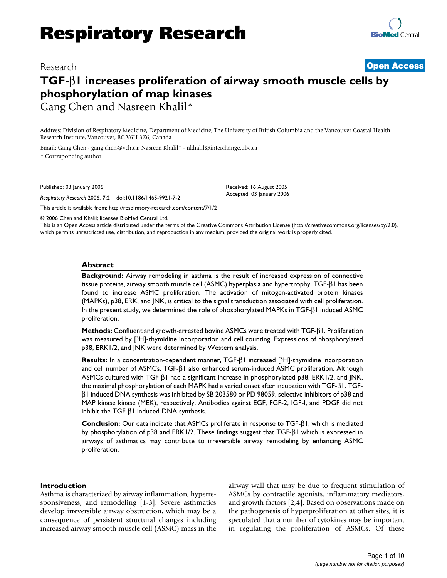# Research **[Open Access](http://www.biomedcentral.com/info/about/charter/)**

# **TGF-**β**1 increases proliferation of airway smooth muscle cells by phosphorylation of map kinases** Gang Chen and Nasreen Khalil\*

Address: Division of Respiratory Medicine, Department of Medicine, The University of British Columbia and the Vancouver Coastal Health Research Institute, Vancouver, BC V6H 3Z6, Canada

Email: Gang Chen - gang.chen@vch.ca; Nasreen Khalil\* - nkhalil@interchange.ubc.ca \* Corresponding author

Published: 03 January 2006

*Respiratory Research* 2006, **7**:2 doi:10.1186/1465-9921-7-2

[This article is available from: http://respiratory-research.com/content/7/1/2](http://respiratory-research.com/content/7/1/2)

© 2006 Chen and Khalil; licensee BioMed Central Ltd.

This is an Open Access article distributed under the terms of the Creative Commons Attribution License [\(http://creativecommons.org/licenses/by/2.0\)](http://creativecommons.org/licenses/by/2.0), which permits unrestricted use, distribution, and reproduction in any medium, provided the original work is properly cited.

Received: 16 August 2005 Accepted: 03 January 2006

#### **Abstract**

**Background:** Airway remodeling in asthma is the result of increased expression of connective tissue proteins, airway smooth muscle cell (ASMC) hyperplasia and hypertrophy. TGF-β1 has been found to increase ASMC proliferation. The activation of mitogen-activated protein kinases (MAPKs), p38, ERK, and JNK, is critical to the signal transduction associated with cell proliferation. In the present study, we determined the role of phosphorylated MAPKs in TGF-β1 induced ASMC proliferation.

**Methods:** Confluent and growth-arrested bovine ASMCs were treated with TGF-β1. Proliferation was measured by [3H]-thymidine incorporation and cell counting. Expressions of phosphorylated p38, ERK1/2, and JNK were determined by Western analysis.

**Results:** In a concentration-dependent manner, TGF-β1 increased [3H]-thymidine incorporation and cell number of ASMCs. TGF-β1 also enhanced serum-induced ASMC proliferation. Although ASMCs cultured with TGF-β1 had a significant increase in phosphorylated p38, ERK1/2, and JNK, the maximal phosphorylation of each MAPK had a varied onset after incubation with TGF-β1. TGFβ1 induced DNA synthesis was inhibited by SB 203580 or PD 98059, selective inhibitors of p38 and MAP kinase kinase (MEK), respectively. Antibodies against EGF, FGF-2, IGF-I, and PDGF did not inhibit the TGF- $β$ I induced DNA synthesis.

**Conclusion:** Our data indicate that ASMCs proliferate in response to TGF-β1, which is mediated by phosphorylation of p38 and ERK1/2. These findings suggest that TGF-β1 which is expressed in airways of asthmatics may contribute to irreversible airway remodeling by enhancing ASMC proliferation.

### **Introduction**

Asthma is characterized by airway inflammation, hyperresponsiveness, and remodeling [1-3]. Severe asthmatics develop irreversible airway obstruction, which may be a consequence of persistent structural changes including increased airway smooth muscle cell (ASMC) mass in the airway wall that may be due to frequent stimulation of ASMCs by contractile agonists, inflammatory mediators, and growth factors [2,4]. Based on observations made on the pathogenesis of hyperproliferation at other sites, it is speculated that a number of cytokines may be important in regulating the proliferation of ASMCs. Of these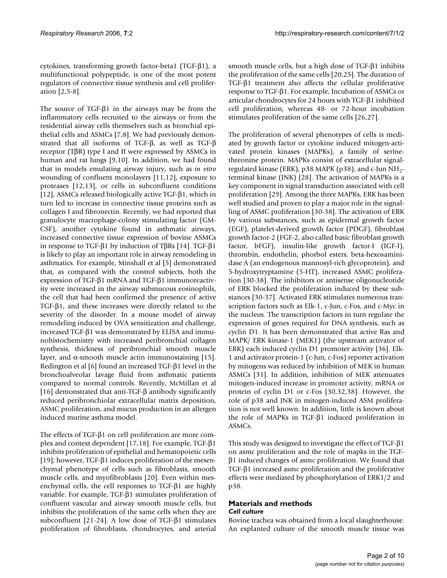cytokines, transforming growth factor-beta1 (TGF-β1), a multifunctional polypeptide, is one of the most potent regulators of connective tissue synthesis and cell proliferation [2,5-8].

The source of TGF-β1 in the airways may be from the inflammatory cells recruited to the airways or from the residential airway cells themselves such as bronchial epithelial cells and ASMCs [7,8]. We had previously demonstrated that all isoforms of TGF-β, as well as TGF-β receptor (TβR) type I and II were expressed by ASMCs in human and rat lungs [9,10]. In addition, we had found that in models emulating airway injury, such as *in vitro* wounding of confluent monolayers [11,12], exposure to proteases [12,13], or cells in subconfluent conditions [12], ASMCs released biologically active TGF-β1, which in turn led to increase in connective tissue proteins such as collagen I and fibronectin. Recently, we had reported that granulocyte macrophage-colony stimulating factor (GM-CSF), another cytokine found in asthmatic airways, increased connective tissue expression of bovine ASMCs in response to TGF-β1 by induction of TβRs [14]. TGF-β1 is likely to play an important role in airway remodeling in asthmatics. For example, Minshall et al [5] demonstrated that, as compared with the control subjects, both the expression of TGF-β1 mRNA and TGF-β1 immunoreactivity were increased in the airway submucous eosinophils, the cell that had been confirmed the presence of active TGF-β1, and these increases were directly related to the severity of the disorder. In a mouse model of airway remodeling induced by OVA sensitization and challenge, increased TGF-β1 was demonstrated by ELISA and immunohistochemistry with increased peribronchial collagen synthesis, thickness of peribronchial smooth muscle layer, and α-smooth muscle actin immunostaining  $[15]$ . Redington et al [6] found an increased TGF-β1 level in the bronchoalveolar lavage fluid from asthmatic patients compared to normal controls. Recently, McMillan et al [16] demonstrated that anti-TGF-β antibody significantly reduced peribronchiolar extracellular matrix deposition, ASMC proliferation, and mucus production in an allergen induced murine asthma model.

The effects of TGF-β1 on cell proliferation are more complex and context dependent [17,18]. For example, TGF-β1 inhibits proliferation of epithelial and hematopoietic cells [19]; however, TGF-β1 induces proliferation of the mesenchymal phenotype of cells such as fibroblasts, smooth muscle cells, and myofibroblasts [20]. Even within mesenchymal cells, the cell responses to TGF-β1 are highly variable. For example, TGF-β1 stimulates proliferation of confluent vascular and airway smooth muscle cells, but inhibits the proliferation of the same cells when they are subconfluent [21-24]. A low dose of TGF-β1 stimulates proliferation of fibroblasts, chondrocytes, and arterial

smooth muscle cells, but a high dose of TGF-β1 inhibits the proliferation of the same cells [20,25]. The duration of TGF-β1 treatment also affects the cellular proliferative response to TGF-β1. For example, Incubation of ASMCs or articular chondrocytes for 24 hours with TGF-β1 inhibited cell proliferation, whereas 48- or 72-hour incubation stimulates proliferation of the same cells [26,27].

The proliferation of several phenotypes of cells is mediated by growth factor or cytokine induced mitogen-activated protein kinases (MAPKs), a family of serinethreonine protein. MAPKs consist of extracellular signalregulated kinase (ERK),  $p38$  MAPK ( $p38$ ), and c-Jun NH<sub>2</sub>terminal kinase (JNK) [28]. The activation of MAPKs is a key component in signal transduction associated with cell proliferation [29]. Among the three MAPKs, ERK has been well studied and proven to play a major role in the signalling of ASMC proliferation [30-38]. The activation of ERK by various substances, such as epidermal growth factor (EGF), platelet-derived growth factor (PDGF), fibroblast growth factor-2 (FGF-2, also called basic fibroblast growth factor, bFGF), insulin-like growth factor-I (IGF-I), thrombin, endothelin, phorbol esters, beta-hexosaminidase A (an endogenous mannosyl-rich glycoprotein), and 5-hydroxytryptamine (5-HT), increased ASMC proliferation [30-38]. The inhibitors or antisense oligonucleotide of ERK blocked the proliferation induced by these substances [30-37]. Activated ERK stimulates numerous transcription factors such as Elk-1, c-Jun, c-Fos, and c-Myc in the nucleus. The transcription factors in turn regulate the expression of genes required for DNA synthesis, such as cyclin D1. It has been demonstrated that active Ras and MAPK/ ERK kinase-1 (MEK1) (the upstream activator of ERK) each induced cyclin D1 promoter activity [36]. Elk-1 and activator protein-1 (c-Jun, c-Fos) reporter activation by mitogens was reduced by inhibition of MEK in human ASMCs [31]. In addition, inhibition of MEK attenuates mitogen-induced increase in promoter activity, mRNA or protein of cyclin D1 or c-Fos [30,32,38]. However, the role of p38 and JNK in mitogen-induced ASM proliferation is not well known. In addition, little is known about the role of MAPKs in TGF-β1 induced proliferation in ASMCs.

This study was designed to investigate the effect of TGF-β1 on asmc proliferation and the role of mapks in the TGFβ1 induced changes of asmc proliferation. We found that TGF-β1 increased asmc proliferation and the proliferative effects were mediated by phosphorylation of ERK1/2 and p38.

# **Materials and methods** *Cell culture*

Bovine trachea was obtained from a local slaughterhouse. An explanted culture of the smooth muscle tissue was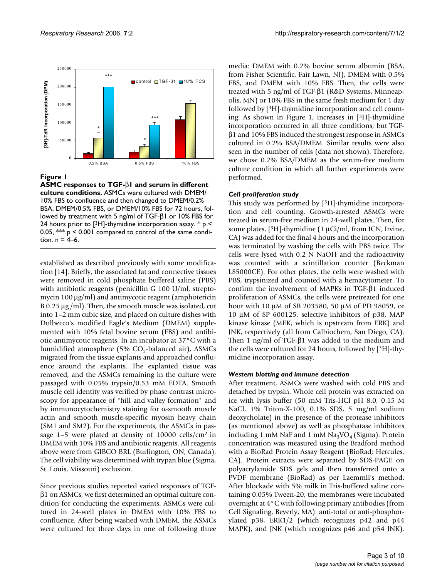

**ASMC responses to TGF-**β**1 and serum in different culture conditions.** ASMCs were cultured with DMEM/ 10% FBS to confluence and then changed to DMEM/0.2% BSA, DMEM/0.5% FBS, or DMEM/10% FBS for 72 hours, followed by treatment with 5 ng/ml of TGF-β1 or 10% FBS for 24 hours prior to [ $3H$ ]-thymidine incorporation assay.  $* p <$ 0.05,  $**$  p < 0.001 compared to control of the same condition.  $n = 4–6$ .

established as described previously with some modification [14]. Briefly, the associated fat and connective tissues were removed in cold phosphate buffered saline (PBS) with antibiotic reagents (penicillin G 100 U/ml, streptomycin 100 µg/ml) and antimycotic reagent (amphotericin B 0.25 µg /ml). Then, the smooth muscle was isolated, cut into 1–2 mm cubic size, and placed on culture dishes with Dulbecco's modified Eagle's Medium (DMEM) supplemented with 10% fetal bovine serum (FBS) and antibiotic-antimycotic reagents. In an incubator at 37°C with a humidified atmosphere (5%  $CO_2$ -balanced air), ASMCs migrated from the tissue explants and approached confluence around the explants. The explanted tissue was removed, and the ASMCs remaining in the culture were passaged with 0.05% trypsin/0.53 mM EDTA. Smooth muscle cell identity was verified by phase contrast microscopy for appearance of "hill and valley formation" and by immunocytochemistry staining for  $\alpha$ -smooth muscle actin and smooth muscle-specific myosin heavy chain (SM1 and SM2). For the experiments, the ASMCs in passage  $1-5$  were plated at density of 10000 cells/cm<sup>2</sup> in DMEM with 10% FBS and antibiotic reagents. All reagents above were from GIBCO BRL (Burlington, ON, Canada). The cell viability was determined with trypan blue (Sigma, St. Louis, Missouri) exclusion.

Since previous studies reported varied responses of TGFβ1 on ASMCs, we first determined an optimal culture condition for conducting the experiments. ASMCs were cultured in 24-well plates in DMEM with 10% FBS to confluence. After being washed with DMEM, the ASMCs were cultured for three days in one of following three media: DMEM with 0.2% bovine serum albumin (BSA, from Fisher Scientific, Fair Lawn, NJ), DMEM with 0.5% FBS, and DMEM with 10% FBS. Then, the cells were treated with 5 ng/ml of TGF-β1 (R&D Systems, Minneapolis, MN) or 10% FBS in the same fresh medium for 1 day followed by [3H]-thymidine incorporation and cell counting. As shown in Figure 1, increases in [3H]-thymidine incorporation occurred in all three conditions, but TGFβ1 and 10% FBS induced the strongest response in ASMCs cultured in 0.2% BSA/DMEM. Similar results were also seen in the number of cells (data not shown). Therefore, we chose 0.2% BSA/DMEM as the serum-free medium culture condition in which all further experiments were performed.

# *Cell proliferation study*

This study was performed by [3H]-thymidine incorporation and cell counting. Growth-arrested ASMCs were treated in serum-free medium in 24-well plates. Then, for some plates,  $[3H]$ -thymidine (1 µCi/ml, from ICN, Irvine, CA) was added for the final 4 hours and the incorporation was terminated by washing the cells with PBS twice. The cells were lysed with 0.2 N NaOH and the radioactivity was counted with a scintillation counter (Beckman LS5000CE). For other plates, the cells were washed with PBS, trypsinized and counted with a hemacytometer. To confirm the involvement of MAPKs in TGF-β1 induced proliferation of ASMCs, the cells were pretreated for one hour with 10 µM of SB 203580, 50 µM of PD 98059, or 10 µM of SP 600125, selective inhibitors of p38, MAP kinase kinase (MEK, which is upstream from ERK) and JNK, respectively (all from Calbiochem, San Diego, CA). Then 1 ng/ml of TGF-β1 was added to the medium and the cells were cultured for 24 hours, followed by [3H]-thymidine incorporation assay.

# *Western blotting and immune detection*

After treatment, ASMCs were washed with cold PBS and detached by trypsin. Whole cell protein was extracted on ice with lysis buffer (50 mM Tris-HCl pH 8.0, 0.15 M NaCl, 1% Triton-X-100, 0.1% SDS, 5 mg/ml sodium deoxycholate) in the presence of the protease inhibitors (as mentioned above) as well as phosphatase inhibitors including 1 mM NaF and 1 mM  $Na<sub>3</sub>VO<sub>4</sub>$  (Sigma). Protein concentration was measured using the Bradford method with a BioRad Protein Assay Reagent (BioRad; Hercules, CA). Protein extracts were separated by SDS-PAGE on polyacrylamide SDS gels and then transferred onto a PVDF membrane (BioRad) as per Laemmli's method. After blockade with 5% milk in Tris-buffered saline containing 0.05% Tween-20, the membranes were incubated overnight at 4°C with following primary antibodies (from Cell Signaling, Beverly, MA): anti-total or anti-phosphorylated p38, ERK1/2 (which recognizes p42 and p44 MAPK), and JNK (which recognizes p46 and p54 JNK).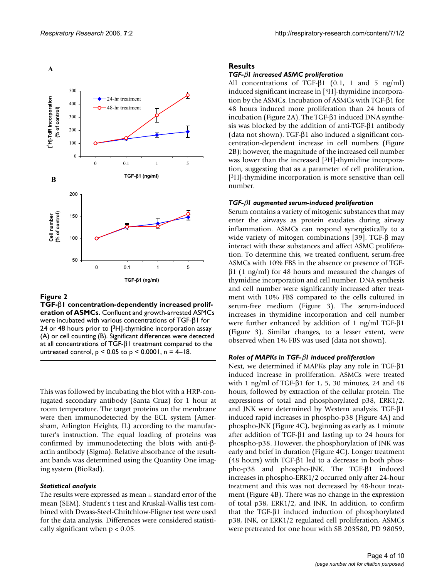

**TGF-**β**1 concentration-dependently increased proliferation of ASMCs.** Confluent and growth-arrested ASMCs were incubated with various concentrations of TGF-β1 for 24 or 48 hours prior to [3H]-thymidine incorporation assay (A) or cell counting (B). Significant differences were detected at all concentrations of TGF- $β$ I treatment compared to the untreated control,  $p < 0.05$  to  $p < 0.0001$ ,  $n = 4-18$ .

This was followed by incubating the blot with a HRP-conjugated secondary antibody (Santa Cruz) for 1 hour at room temperature. The target proteins on the membrane were then immunodetected by the ECL system (Amersham, Arlington Heights, IL) according to the manufacturer's instruction. The equal loading of proteins was confirmed by immunodetecting the blots with anti-βactin antibody (Sigma). Relative absorbance of the resultant bands was determined using the Quantity One imaging system (BioRad).

#### *Statistical analysis*

The results were expressed as mean  $\pm$  standard error of the mean (SEM). Student's t test and Kruskal-Wallis test combined with Dwass-Steel-Chritchlow-Fligner test were used for the data analysis. Differences were considered statistically significant when  $p < 0.05$ .

### **Results**

#### *TGF-*β*1 increased ASMC proliferation*

All concentrations of TGF-β1 (0.1, 1 and 5 ng/ml) induced significant increase in [3H]-thymidine incorporation by the ASMCs. Incubation of ASMCs with TGF-β1 for 48 hours induced more proliferation than 24 hours of incubation (Figure 2A). The TGF-β1 induced DNA synthesis was blocked by the addition of anti-TGF-β1 antibody (data not shown). TGF-β1 also induced a significant concentration-dependent increase in cell numbers (Figure 2B); however, the magnitude of the increased cell number was lower than the increased [3H]-thymidine incorporation, suggesting that as a parameter of cell proliferation, [3H]-thymidine incorporation is more sensitive than cell number.

#### *TGF-*β*1 augmented serum-induced proliferation*

Serum contains a variety of mitogenic substances that may enter the airways as protein exudates during airway inflammation. ASMCs can respond synergistically to a wide variety of mitogen combinations [39]. TGF-β may interact with these substances and affect ASMC proliferation. To determine this, we treated confluent, serum-free ASMCs with 10% FBS in the absence or presence of TGF $β1$  (1 ng/ml) for 48 hours and measured the changes of thymidine incorporation and cell number. DNA synthesis and cell number were significantly increased after treatment with 10% FBS compared to the cells cultured in serum-free medium (Figure 3). The serum-induced increases in thymidine incorporation and cell number were further enhanced by addition of 1 ng/ml TGF-β1 (Figure 3). Similar changes, to a lesser extent, were observed when 1% FBS was used (data not shown).

#### *Roles of MAPKs in TGF-*β*1 induced proliferation*

Next, we determined if MAPKs play any role in TGF-β1 induced increase in proliferation. ASMCs were treated with 1 ng/ml of TGF- $\beta$ 1 for 1, 5, 30 minutes, 24 and 48 hours, followed by extraction of the cellular protein. The expressions of total and phosphorylated p38, ERK1/2, and JNK were determined by Western analysis. TGF-β1 induced rapid increases in phospho-p38 (Figure 4A) and phospho-JNK (Figure 4C), beginning as early as 1 minute after addition of TGF-β1 and lasting up to 24 hours for phospho-p38. However, the phosphorylation of JNK was early and brief in duration (Figure 4C). Longer treatment (48 hours) with TGF-β1 led to a decrease in both phospho-p38 and phospho-JNK. The TGF-β1 induced increases in phospho-ERK1/2 occurred only after 24-hour treatment and this was not decreased by 48-hour treatment (Figure 4B). There was no change in the expression of total p38, ERK1/2, and JNK. In addition, to confirm that the TGF-β1 induced induction of phosphorylated p38, JNK, or ERK1/2 regulated cell proliferation, ASMCs were pretreated for one hour with SB 203580, PD 98059,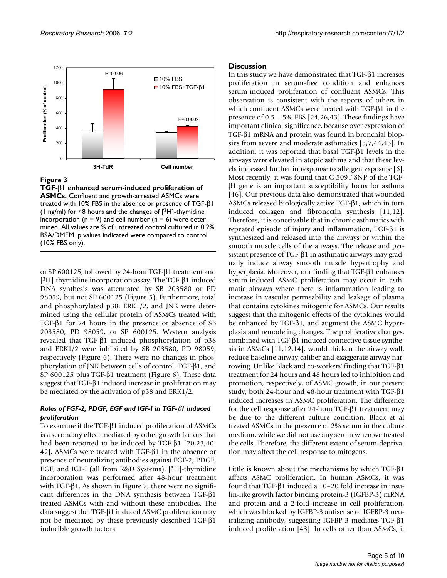

**TGF-**β**1 enhanced serum-induced proliferation of ASMCs.** Confluent and growth-arrested ASMCs were treated with 10% FBS in the absence or presence of TGF-β1 (1 ng/ml) for 48 hours and the changes of  $[3H]$ -thymidine incorporation ( $n = 9$ ) and cell number ( $n = 6$ ) were determined. All values are % of untreated control cultured in 0.2% BSA/DMEM. p values indicated were compared to control (10% FBS only).

or SP 600125, followed by 24-hour TGF-β1 treatment and [3H]-thymidine incorporation assay. The TGF-β1 induced DNA synthesis was attenuated by SB 203580 or PD 98059, but not SP 600125 (Figure 5). Furthermore, total and phosphorylated p38, ERK1/2, and JNK were determined using the cellular protein of ASMCs treated with TGF-β1 for 24 hours in the presence or absence of SB 203580, PD 98059, or SP 600125. Western analysis revealed that TGF-β1 induced phosphorylation of p38 and ERK1/2 were inhibited by SB 203580, PD 98059, respectively (Figure 6). There were no changes in phosphorylation of JNK between cells of control, TGF-β1, and SP 600125 plus TGF-β1 treatment (Figure 6). These data suggest that TGF-β1 induced increase in proliferation may be mediated by the activation of p38 and ERK1/2.

# *Roles of FGF-2, PDGF, EGF and IGF-I in TGF-*β*1 induced proliferation*

To examine if the TGF-β1 induced proliferation of ASMCs is a secondary effect mediated by other growth factors that had been reported to be induced by TGF-β1 [20,23,40- 42], ASMCs were treated with TGF-β1 in the absence or presence of neutralizing antibodies against FGF-2, PDGF, EGF, and IGF-I (all from R&D Systems). [3H]-thymidine incorporation was performed after 48-hour treatment with TGF-β1. As shown in Figure 7, there were no significant differences in the DNA synthesis between TGF-β1 treated ASMCs with and without these antibodies. The data suggest that TGF-β1 induced ASMC proliferation may not be mediated by these previously described TGF-β1 inducible growth factors.

# **Discussion**

In this study we have demonstrated that TGF-β1 increases proliferation in serum-free condition and enhances serum-induced proliferation of confluent ASMCs. This observation is consistent with the reports of others in which confluent ASMCs were treated with TGF-β1 in the presence of  $0.5 - 5\%$  FBS [24,26,43]. These findings have important clinical significance, because over expression of TGF-β1 mRNA and protein was found in bronchial biopsies from severe and moderate asthmatics [5,7,44,45]. In addition, it was reported that basal TGF-β1 levels in the airways were elevated in atopic asthma and that these levels increased further in response to allergen exposure [6]. Most recently, it was found that C-509T SNP of the TGFβ1 gene is an important susceptibility locus for asthma [46]. Our previous data also demonstrated that wounded ASMCs released biologically active TGF-β1, which in turn induced collagen and fibronectin synthesis [11,12]. Therefore, it is conceivable that in chronic asthmatics with repeated episode of injury and inflammation, TGF-β1 is synthesized and released into the airways or within the smooth muscle cells of the airways. The release and persistent presence of TGF-β1 in asthmatic airways may gradually induce airway smooth muscle hypertrophy and hyperplasia. Moreover, our finding that TGF-β1 enhances serum-induced ASMC proliferation may occur in asthmatic airways where there is inflammation leading to increase in vascular permeability and leakage of plasma that contains cytokines mitogenic for ASMCs. Our results suggest that the mitogenic effects of the cytokines would be enhanced by TGF-β1, and augment the ASMC hyperplasia and remodeling changes. The proliferative changes, combined with TGF-β1 induced connective tissue synthesis in ASMCs [11,12,14], would thicken the airway wall, reduce baseline airway caliber and exaggerate airway narrowing. Unlike Black and co-workers' finding that TGF-β1 treatment for 24 hours and 48 hours led to inhibition and promotion, respectively, of ASMC growth, in our present study, both 24-hour and 48-hour treatment with TGF-β1 induced increases in ASMC proliferation. The difference for the cell response after 24-hour TGF-β1 treatment may be due to the different culture condition. Black et al treated ASMCs in the presence of 2% serum in the culture medium, while we did not use any serum when we treated the cells. Therefore, the different extent of serum-deprivation may affect the cell response to mitogens.

Little is known about the mechanisms by which TGF-β1 affects ASMC proliferation. In human ASMCs, it was found that TGF-β1 induced a 10–20 fold increase in insulin-like growth factor binding protein-3 (IGFBP-3) mRNA and protein and a 2-fold increase in cell proliferation, which was blocked by IGFBP-3 antisense or IGFBP-3 neutralizing antibody, suggesting IGFBP-3 mediates TGF-β1 induced proliferation [43]. In cells other than ASMCs, it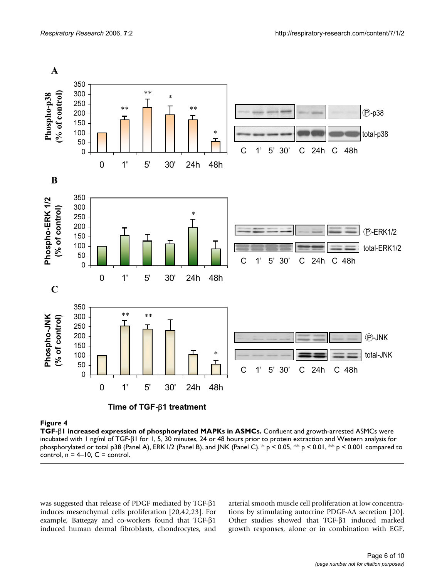

**TGF-**β**1 increased expression of phosphorylated MAPKs in ASMCs.** Confluent and growth-arrested ASMCs were incubated with 1 ng/ml of TGF-β1 for 1, 5, 30 minutes, 24 or 48 hours prior to protein extraction and Western analysis for phosphorylated or total p38 (Panel A), ERK1/2 (Panel B), and JNK (Panel C). \* p < 0.05, \*\* p < 0.01, \*\* p < 0.001 compared to control,  $n = 4-10$ ,  $C =$  control.

was suggested that release of PDGF mediated by TGF-β1 induces mesenchymal cells proliferation [20,42,23]. For example, Battegay and co-workers found that TGF-β1 induced human dermal fibroblasts, chondrocytes, and

arterial smooth muscle cell proliferation at low concentrations by stimulating autocrine PDGF-AA secretion [20]. Other studies showed that TGF-β1 induced marked growth responses, alone or in combination with EGF,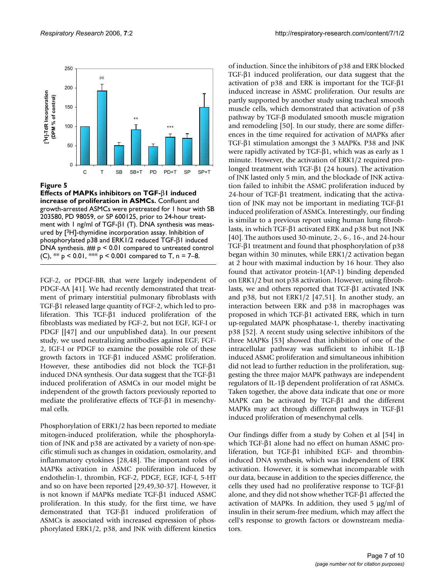

**Effects of MAPKs inhibitors on TGF-**β**1 induced increase of proliferation in ASMCs.** Confluent and growth-arrested ASMCs were pretreated for 1 hour with SB 203580, PD 98059, or SP 600125, prior to 24-hour treatment with 1 ng/ml of TGF-β1 (T). DNA synthesis was measured by [3H]-thymidine incorporation assay. Inhibition of phosphorylated p38 and ERK1/2 reduced TGF-β1 induced DNA synthesis.  $\#$   $p \leq 0.01$  compared to untreated control (C), \*\*  $p$  < 0.01, \*\*\*  $p$  < 0.001 compared to T, n = 7–8.

FGF-2, or PDGF-BB, that were largely independent of PDGF-AA [41]. We had recently demonstrated that treatment of primary interstitial pulmonary fibroblasts with TGF-β1 released large quantity of FGF-2, which led to proliferation. This TGF-β1 induced proliferation of the fibroblasts was mediated by FGF-2, but not EGF, IGF-I or PDGF [[47] and our unpublished data). In our present study, we used neutralizing antibodies against EGF, FGF-2, IGF-I or PDGF to examine the possible role of these growth factors in TGF-β1 induced ASMC proliferation. However, these antibodies did not block the TGF-β1 induced DNA synthesis. Our data suggest that the TGF-β1 induced proliferation of ASMCs in our model might be independent of the growth factors previously reported to mediate the proliferative effects of TGF-β1 in mesenchymal cells.

Phosphorylation of ERK1/2 has been reported to mediate mitogen-induced proliferation, while the phosphorylation of JNK and p38 are activated by a variety of non-specific stimuli such as changes in oxidation, osmolarity, and inflammatory cytokines [28,48]. The important roles of MAPKs activation in ASMC proliferation induced by endothelin-1, thrombin, FGF-2, PDGF, EGF, IGF-I, 5-HT and so on have been reported [29,49,30-37]. However, it is not known if MAPKs mediate TGF-β1 induced ASMC proliferation. In this study, for the first time, we have demonstrated that TGF-β1 induced proliferation of ASMCs is associated with increased expression of phosphorylated ERK1/2, p38, and JNK with different kinetics

of induction. Since the inhibitors of p38 and ERK blocked TGF-β1 induced proliferation, our data suggest that the activation of p38 and ERK is important for the TGF-β1 induced increase in ASMC proliferation. Our results are partly supported by another study using tracheal smooth muscle cells, which demonstrated that activation of p38 pathway by TGF-β modulated smooth muscle migration and remodeling [50]. In our study, there are some differences in the time required for activation of MAPKs after TGF-β1 stimulation amongst the 3 MAPKs. P38 and JNK were rapidly activated by TGF-β1, which was as early as 1 minute. However, the activation of ERK1/2 required prolonged treatment with TGF-β1 (24 hours). The activation of JNK lasted only 5 min, and the blockade of JNK activation failed to inhibit the ASMC proliferation induced by 24-hour of TGF-β1 treatment, indicating that the activation of JNK may not be important in mediating TGF-β1 induced proliferation of ASMCs. Interestingly, our finding is similar to a previous report using human lung fibroblasts, in which TGF-β1 activated ERK and p38 but not JNK [40]. The authors used 30-minute, 2-, 6-, 16-, and 24-hour TGF-β1 treatment and found that phosphorylation of p38 began within 30 minutes, while ERK1/2 activation began at 2 hour with maximal induction by 16 hour. They also found that activator protein-1(AP-1) binding depended on ERK1/2 but not p38 activation. However, using fibroblasts, we and others reported that TGF-β1 activated JNK and p38, but not ERK1/2 [47,51]. In another study, an interaction between ERK and p38 in macrophages was proposed in which TGF-β1 activated ERK, which in turn up-regulated MAPK phosphatase-1, thereby inactivating p38 [52]. A recent study using selective inhibitors of the three MAPKs [53] showed that inhibition of one of the intracellular pathway was sufficient to inhibit IL-1β induced ASMC proliferation and simultaneous inhibition did not lead to further reduction in the proliferation, suggesting the three major MAPK pathways are independent regulators of IL-1β dependent proliferation of rat ASMCs. Taken together, the above data indicate that one or more MAPK can be activated by TGF-β1 and the different MAPKs may act through different pathways in TGF-β1 induced proliferation of mesenchymal cells.

Our findings differ from a study by Cohen et al [54] in which TGF-β1 alone had no effect on human ASMC proliferation, but TGF-β1 inhibited EGF- and thrombininduced DNA synthesis, which was independent of ERK activation. However, it is somewhat incomparable with our data, because in addition to the species difference, the cells they used had no proliferative response to TGF-β1 alone, and they did not show whether TGF-β1 affected the activation of MAPKs. In addition, they used 5 µg/ml of insulin in their serum-free medium, which may affect the cell's response to growth factors or downstream mediators.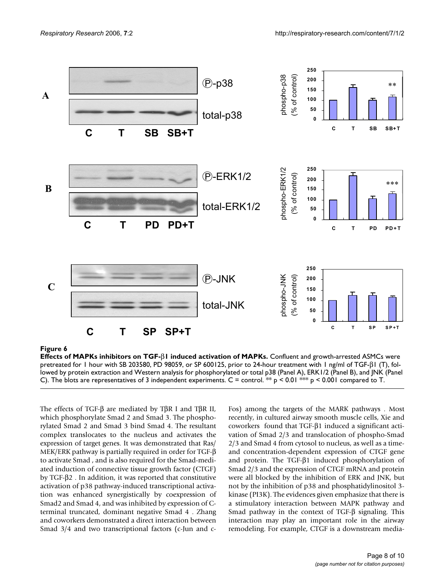

**Effects of MAPKs inhibitors on TGF-**β**1 induced activation of MAPKs.** Confluent and growth-arrested ASMCs were pretreated for 1 hour with SB 203580, PD 98059, or SP 600125, prior to 24-hour treatment with 1 ng/ml of TGF-β1 (T), followed by protein extraction and Western analysis for phosphorylated or total p38 (Panel A), ERK1/2 (Panel B), and JNK (Panel C). The blots are representatives of 3 independent experiments. C = control. \*\*  $p < 0.01$  \*\*  $p < 0.001$  compared to T.

The effects of TGF-β are mediated by TβR I and TβR II, which phosphorylate Smad 2 and Smad 3. The phosphorylated Smad 2 and Smad 3 bind Smad 4. The resultant complex translocates to the nucleus and activates the expression of target genes. It was demonstrated that Ras/ MEK/ERK pathway is partially required in order for TGF-β to activate Smad , and is also required for the Smad-mediated induction of connective tissue growth factor (CTGF) by TGF-β2 . In addition, it was reported that constitutive activation of p38 pathway-induced transcriptional activation was enhanced synergistically by coexpression of Smad2 and Smad 4, and was inhibited by expression of Cterminal truncated, dominant negative Smad 4 . Zhang and coworkers demonstrated a direct interaction between Smad 3/4 and two transcriptional factors (c-Jun and cFos) among the targets of the MARK pathways . Most recently, in cultured airway smooth muscle cells, Xie and coworkers found that TGF-β1 induced a significant activation of Smad 2/3 and translocation of phospho-Smad 2/3 and Smad 4 from cytosol to nucleus, as well as a timeand concentration-dependent expression of CTGF gene and protein. The TGF-β1 induced phosphorylation of Smad 2/3 and the expression of CTGF mRNA and protein were all blocked by the inhibition of ERK and JNK, but not by the inhibition of p38 and phosphatidylinositol 3 kinase (PI3K). The evidences given emphasize that there is a stimulatory interaction between MAPK pathway and Smad pathway in the context of TGF-β signaling. This interaction may play an important role in the airway remodeling. For example, CTGF is a downstream media-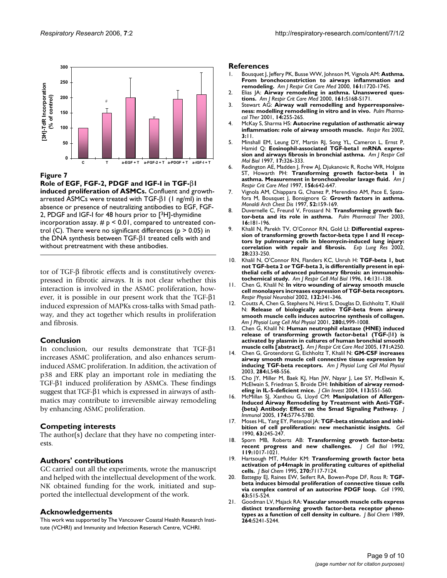

**Role of EGF, FGF-2, PDGF and IGF-I in TGF-**β**1 induced proliferation of ASMCs.** Confluent and growtharrested ASMCs were treated with TGF- $βI$  (1 ng/ml) in the absence or presence of neutralizing antibodies to EGF, FGF-2, PDGF and IGF-I for 48 hours prior to [3H]-thymidine incorporation assay.  $# p \leq 0.01$ , compared to untreated control (C). There were no significant differences ( $p > 0.05$ ) in the DNA synthesis between TGF-β1 treated cells with and without pretreatment with these antibodies.

tor of TGF-β fibrotic effects and is constitutively overexpressed in fibrotic airways. It is not clear whether this interaction is involved in the ASMC proliferation, however, it is possible in our present work that the TGF-β1 induced expression of MAPKs cross-talks with Smad pathway, and they act together which results in proliferation and fibrosis.

#### **Conclusion**

In conclusion, our results demonstrate that TGF-β1 increases ASMC proliferation, and also enhances seruminduced ASMC proliferation. In addition, the activation of p38 and ERK play an important role in mediating the TGF-β1 induced proliferation by ASMCs. These findings suggest that TGF-β1 which is expressed in airways of asthmatics may contribute to irreversible airway remodeling by enhancing ASMC proliferation.

# **Competing interests**

The author(s) declare that they have no competing interests.

# **Authors' contributions**

GC carried out all the experiments, wrote the manuscript and helped with the intellectual development of the work. NK obtained funding for the work, initiated and supported the intellectual development of the work.

# **Acknowledgements**

This work was supported by The Vancouver Coastal Health Research Institute (VCHRI) and Immunity and Infection Reserach Centre, VCHRI.

#### **References**

- 1. Bousquet J, Jeffery PK, Busse WW, Johnson M, Vignola AM: **[Asthma.](http://www.ncbi.nlm.nih.gov/entrez/query.fcgi?cmd=Retrieve&db=PubMed&dopt=Abstract&list_uids=10806180) [From bronchoconstriction to airways inflammation and](http://www.ncbi.nlm.nih.gov/entrez/query.fcgi?cmd=Retrieve&db=PubMed&dopt=Abstract&list_uids=10806180) [remodeling.](http://www.ncbi.nlm.nih.gov/entrez/query.fcgi?cmd=Retrieve&db=PubMed&dopt=Abstract&list_uids=10806180)** *Am J Respir Crit Care Med* 2000, **161:**1720-1745.
- 2. Elias JA: **[Airway remodeling in asthma. Unanswered ques](http://www.ncbi.nlm.nih.gov/entrez/query.fcgi?cmd=Retrieve&db=PubMed&dopt=Abstract&list_uids=10712368)[tions.](http://www.ncbi.nlm.nih.gov/entrez/query.fcgi?cmd=Retrieve&db=PubMed&dopt=Abstract&list_uids=10712368)** *Am J Respir Crit Care Med* 2000, **161:**S168-S171.
- 3. Stewart AG: **[Airway wall remodelling and hyperresponsive](http://www.ncbi.nlm.nih.gov/entrez/query.fcgi?cmd=Retrieve&db=PubMed&dopt=Abstract&list_uids=11448152)[ness: modelling remodelling in vitro and in vivo.](http://www.ncbi.nlm.nih.gov/entrez/query.fcgi?cmd=Retrieve&db=PubMed&dopt=Abstract&list_uids=11448152)** *Pulm Pharmacol Ther* 2001, **14:**255-265.
- 4. McKay S, Sharma HS: **[Autocrine regulation of asthmatic airway](http://www.ncbi.nlm.nih.gov/entrez/query.fcgi?cmd=Retrieve&db=PubMed&dopt=Abstract&list_uids=11806846) [inflammation: role of airway smooth muscle.](http://www.ncbi.nlm.nih.gov/entrez/query.fcgi?cmd=Retrieve&db=PubMed&dopt=Abstract&list_uids=11806846)** *Respir Res* 2002, **3:**11.
- 5. Minshall EM, Leung DY, Martin RJ, Song YL, Cameron L, Ernst P, Hamid Q: **[Eosinophil-associated TGF-beta1 mRNA expres](http://www.ncbi.nlm.nih.gov/entrez/query.fcgi?cmd=Retrieve&db=PubMed&dopt=Abstract&list_uids=9308919)[sion and airways fibrosis in bronchial asthma.](http://www.ncbi.nlm.nih.gov/entrez/query.fcgi?cmd=Retrieve&db=PubMed&dopt=Abstract&list_uids=9308919)** *Am J Respir Cell Mol Biol* 1997, **17:**326-333.
- 6. Redington AE, Madden J, Frew AJ, Djukanovic R, Roche WR, Holgate ST, Howarth PH: **[Transforming growth factor-beta 1 in](http://www.ncbi.nlm.nih.gov/entrez/query.fcgi?cmd=Retrieve&db=PubMed&dopt=Abstract&list_uids=9279252) [asthma. Measurement in bronchoalveolar lavage fluid.](http://www.ncbi.nlm.nih.gov/entrez/query.fcgi?cmd=Retrieve&db=PubMed&dopt=Abstract&list_uids=9279252)** *Am J Respir Crit Care Med* 1997, **156:**642-647.
- 7. Vignola AM, Chiappara G, Chanez P, Merendino AM, Pace E, Spatafora M, Bousquet J, Bonsignore G: **[Growth factors in asthma.](http://www.ncbi.nlm.nih.gov/entrez/query.fcgi?cmd=Retrieve&db=PubMed&dopt=Abstract&list_uids=9203815)** *Monaldi Arch Chest Dis* 1997, **52:**159-169.
- 8. Duvernelle C, Freund V, Frossard N: **[Transforming growth fac](http://www.ncbi.nlm.nih.gov/entrez/query.fcgi?cmd=Retrieve&db=PubMed&dopt=Abstract&list_uids=12850120)[tor-beta and its role in asthma.](http://www.ncbi.nlm.nih.gov/entrez/query.fcgi?cmd=Retrieve&db=PubMed&dopt=Abstract&list_uids=12850120)** *Pulm Pharmacol Ther* 2003, **16:**181-196.
- 9. Khalil N, Parekh TV, O'Connor RN, Gold LI: **[Differential expres](http://www.ncbi.nlm.nih.gov/entrez/query.fcgi?cmd=Retrieve&db=PubMed&dopt=Abstract&list_uids=11936776)sion of transforming growth factor-beta type I and II recep[tors by pulmonary cells in bleomycin-induced lung injury:](http://www.ncbi.nlm.nih.gov/entrez/query.fcgi?cmd=Retrieve&db=PubMed&dopt=Abstract&list_uids=11936776) [correlation with repair and fibrosis.](http://www.ncbi.nlm.nih.gov/entrez/query.fcgi?cmd=Retrieve&db=PubMed&dopt=Abstract&list_uids=11936776)** *Exp Lung Res* 2002, **28:**233-250.
- 10. Khalil N, O'Connor RN, Flanders KC, Unruh H: **[TGF-beta 1, but](http://www.ncbi.nlm.nih.gov/entrez/query.fcgi?cmd=Retrieve&db=PubMed&dopt=Abstract&list_uids=8630262) not TGF-beta 2 or TGF-beta 3, is differentially present in epi[thelial cells of advanced pulmonary fibrosis: an immunohis](http://www.ncbi.nlm.nih.gov/entrez/query.fcgi?cmd=Retrieve&db=PubMed&dopt=Abstract&list_uids=8630262)[tochemical study.](http://www.ncbi.nlm.nih.gov/entrez/query.fcgi?cmd=Retrieve&db=PubMed&dopt=Abstract&list_uids=8630262)** *Am J Respir Cell Mol Biol* 1996, **14:**131-138.
- 11. Chen G, Khalil N: **[In vitro wounding of airway smooth muscle](http://www.ncbi.nlm.nih.gov/entrez/query.fcgi?cmd=Retrieve&db=PubMed&dopt=Abstract&list_uids=12208092) [cell monolayers increases expression of TGF-beta receptors.](http://www.ncbi.nlm.nih.gov/entrez/query.fcgi?cmd=Retrieve&db=PubMed&dopt=Abstract&list_uids=12208092)** *Respir Physiol Neurobiol* 2002, **132:**341-346.
- 12. Coutts A, Chen G, Stephens N, Hirst S, Douglas D, Eichholtz T, Khalil N: **[Release of biologically active TGF-beta from airway](http://www.ncbi.nlm.nih.gov/entrez/query.fcgi?cmd=Retrieve&db=PubMed&dopt=Abstract&list_uids=11290525) [smooth muscle cells induces autocrine synthesis of collagen.](http://www.ncbi.nlm.nih.gov/entrez/query.fcgi?cmd=Retrieve&db=PubMed&dopt=Abstract&list_uids=11290525)** *Am J Physiol Lung Cell Mol Physiol* 2001, **280:**L999-1008.
- 13. Chen G, Khalil N: **Human neutrophil elastase (HNE) induced release of transforming growth factor-beta1 (TGF-**β**1) is activated by plasmin in cultures of human bronchial smooth muscle cells [abstract].** *Am J Respir Crit Care Med* 2005, **171:**A250.
- 14. Chen G, Grotendorst G, Eichholtz T, Khalil N: **[GM-CSF increases](http://www.ncbi.nlm.nih.gov/entrez/query.fcgi?cmd=Retrieve&db=PubMed&dopt=Abstract&list_uids=12471017) [airway smooth muscle cell connective tissue expression by](http://www.ncbi.nlm.nih.gov/entrez/query.fcgi?cmd=Retrieve&db=PubMed&dopt=Abstract&list_uids=12471017) [inducing TGF-beta receptors.](http://www.ncbi.nlm.nih.gov/entrez/query.fcgi?cmd=Retrieve&db=PubMed&dopt=Abstract&list_uids=12471017)** *Am J Physiol Lung Cell Mol Physiol* 2003, **284:**L548-556.
- 15. Cho JY, Miller M, Baek KJ, Han JW, Nayar J, Lee SY, McElwain K, McElwain S, Friedman S, Broide DH: **[Inhibition of airway remod](http://www.ncbi.nlm.nih.gov/entrez/query.fcgi?cmd=Retrieve&db=PubMed&dopt=Abstract&list_uids=14966564)[eling in IL-5-deficient mice.](http://www.ncbi.nlm.nih.gov/entrez/query.fcgi?cmd=Retrieve&db=PubMed&dopt=Abstract&list_uids=14966564)** *J Clin Invest* 2004, **113:**551-560.
- 16. McMillan SJ, Xanthou G, Lloyd CM: **[Manipulation of Allergen-](http://www.ncbi.nlm.nih.gov/entrez/query.fcgi?cmd=Retrieve&db=PubMed&dopt=Abstract&list_uids=15843580)[Induced Airway Remodeling by Treatment with Anti-TGF-](http://www.ncbi.nlm.nih.gov/entrez/query.fcgi?cmd=Retrieve&db=PubMed&dopt=Abstract&list_uids=15843580) [{beta} Antibody: Effect on the Smad Signaling Pathway.](http://www.ncbi.nlm.nih.gov/entrez/query.fcgi?cmd=Retrieve&db=PubMed&dopt=Abstract&list_uids=15843580)** *J Immunol* 2005, **174:**5774-5780.
- Moses HL, Yang EY, Pietenpol JA: [TGF-beta stimulation and inhi](http://www.ncbi.nlm.nih.gov/entrez/query.fcgi?cmd=Retrieve&db=PubMed&dopt=Abstract&list_uids=2208284)**[bition of cell proliferation: new mechanistic insights.](http://www.ncbi.nlm.nih.gov/entrez/query.fcgi?cmd=Retrieve&db=PubMed&dopt=Abstract&list_uids=2208284)** *Cell* 1990, **63:**245-247.
- 18. Sporn MB, Roberts AB: **[Transforming growth factor-beta:](http://www.ncbi.nlm.nih.gov/entrez/query.fcgi?cmd=Retrieve&db=PubMed&dopt=Abstract&list_uids=1332976) [recent progress and new challenges.](http://www.ncbi.nlm.nih.gov/entrez/query.fcgi?cmd=Retrieve&db=PubMed&dopt=Abstract&list_uids=1332976)** *J Cell Biol* 1992, **119:**1017-1021.
- 19. Hartsough MT, Mulder KM: **[Transforming growth factor beta](http://www.ncbi.nlm.nih.gov/entrez/query.fcgi?cmd=Retrieve&db=PubMed&dopt=Abstract&list_uids=7706248) [activation of p44mapk in proliferating cultures of epithelial](http://www.ncbi.nlm.nih.gov/entrez/query.fcgi?cmd=Retrieve&db=PubMed&dopt=Abstract&list_uids=7706248) [cells.](http://www.ncbi.nlm.nih.gov/entrez/query.fcgi?cmd=Retrieve&db=PubMed&dopt=Abstract&list_uids=7706248)** *J Biol Chem* 1995, **270:**7117-7124.
- 20. Battegay EJ, Raines EW, Seifert RA, Bowen-Pope DF, Ross R: **[TGF](http://www.ncbi.nlm.nih.gov/entrez/query.fcgi?cmd=Retrieve&db=PubMed&dopt=Abstract&list_uids=2171777)[beta induces bimodal proliferation of connective tissue cells](http://www.ncbi.nlm.nih.gov/entrez/query.fcgi?cmd=Retrieve&db=PubMed&dopt=Abstract&list_uids=2171777) [via complex control of an autocrine PDGF loop.](http://www.ncbi.nlm.nih.gov/entrez/query.fcgi?cmd=Retrieve&db=PubMed&dopt=Abstract&list_uids=2171777)** *Cell* 1990, **63:**515-524.
- 21. Goodman LV, Majack RA: **[Vascular smooth muscle cells express](http://www.ncbi.nlm.nih.gov/entrez/query.fcgi?cmd=Retrieve&db=PubMed&dopt=Abstract&list_uids=2538477) [distinct transforming growth factor-beta receptor pheno](http://www.ncbi.nlm.nih.gov/entrez/query.fcgi?cmd=Retrieve&db=PubMed&dopt=Abstract&list_uids=2538477)[types as a function of cell density in culture.](http://www.ncbi.nlm.nih.gov/entrez/query.fcgi?cmd=Retrieve&db=PubMed&dopt=Abstract&list_uids=2538477)** *J Biol Chem* 1989, **264:**5241-5244.